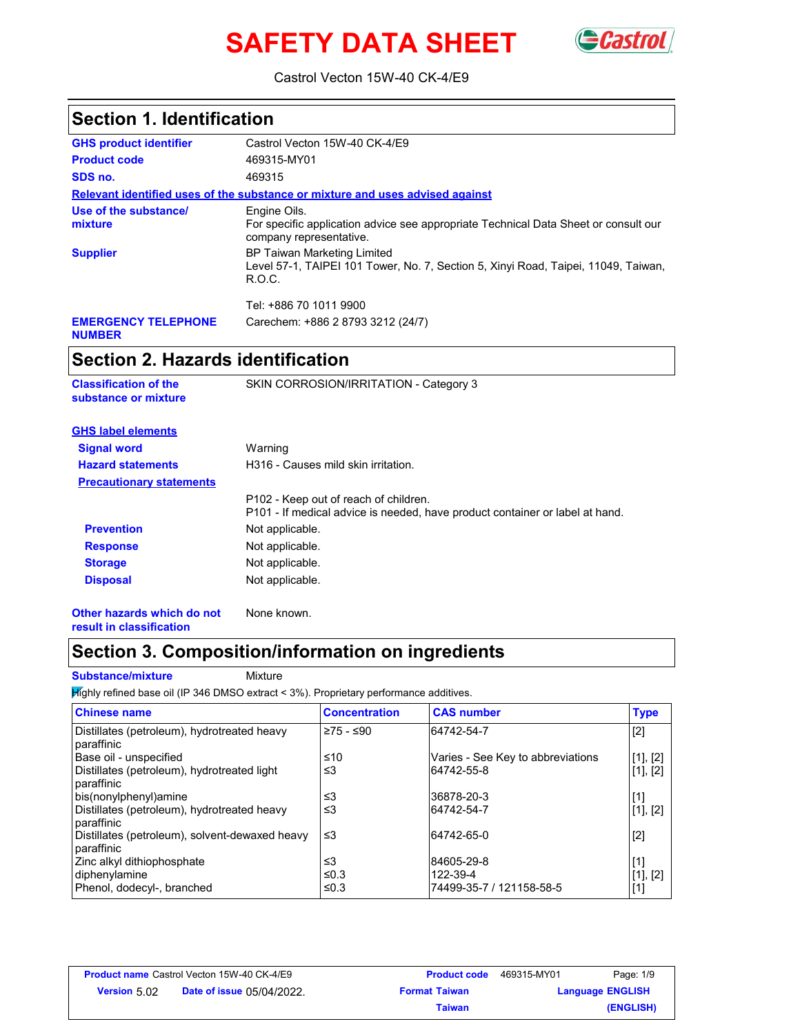# **SAFETY DATA SHEET** GCastrol



Castrol Vecton 15W-40 CK-4/E9

| <b>Section 1. Identification</b>                       |                                                                                                                                    |  |
|--------------------------------------------------------|------------------------------------------------------------------------------------------------------------------------------------|--|
| <b>GHS product identifier</b>                          | Castrol Vecton 15W-40 CK-4/E9                                                                                                      |  |
| <b>Product code</b>                                    | 469315-MY01                                                                                                                        |  |
| SDS no.                                                | 469315                                                                                                                             |  |
|                                                        | Relevant identified uses of the substance or mixture and uses advised against                                                      |  |
| Use of the substance/<br>mixture                       | Engine Oils.<br>For specific application advice see appropriate Technical Data Sheet or consult our<br>company representative.     |  |
| <b>Supplier</b>                                        | <b>BP Taiwan Marketing Limited</b><br>Level 57-1, TAIPEI 101 Tower, No. 7, Section 5, Xinyi Road, Taipei, 11049, Taiwan,<br>R.O.C. |  |
|                                                        | Tel: +886 70 1011 9900                                                                                                             |  |
| <b>EMERGENCY TELEPHONE</b><br><b>NUMBER</b>            | Carechem: +886 2 8793 3212 (24/7)                                                                                                  |  |
| <b>Section 2. Hazards identification</b>               |                                                                                                                                    |  |
| <b>Classification of the</b><br>substance or mixture   | SKIN CORROSION/IRRITATION - Category 3                                                                                             |  |
| <b>GHS label elements</b>                              |                                                                                                                                    |  |
| <b>Signal word</b>                                     | Warning                                                                                                                            |  |
| <b>Hazard statements</b>                               | H316 - Causes mild skin irritation.                                                                                                |  |
| <b>Precautionary statements</b>                        |                                                                                                                                    |  |
|                                                        | P102 - Keep out of reach of children.<br>P101 - If medical advice is needed, have product container or label at hand.              |  |
| <b>Prevention</b>                                      | Not applicable.                                                                                                                    |  |
| <b>Response</b>                                        | Not applicable.                                                                                                                    |  |
| <b>Storage</b>                                         | Not applicable.                                                                                                                    |  |
| <b>Disposal</b>                                        | Not applicable.                                                                                                                    |  |
| Other hazards which do not<br>result in classification | None known.                                                                                                                        |  |

## **Section 3. Composition/information on ingredients**

**Substance/mixture** Mixture

Highly refined base oil (IP 346 DMSO extract < 3%). Proprietary performance additives.

| <b>Chinese name</b>                                          | <b>Concentration</b> | <b>CAS number</b>                 | <b>Type</b>       |
|--------------------------------------------------------------|----------------------|-----------------------------------|-------------------|
| Distillates (petroleum), hydrotreated heavy<br>paraffinic    | ≥75 - ≤90            | 64742-54-7                        | $[2]$             |
| Base oil - unspecified                                       | ≤10                  | Varies - See Key to abbreviations | [1], [2]          |
| Distillates (petroleum), hydrotreated light<br>paraffinic    | ≤3                   | 64742-55-8                        | [1], [2]          |
| bis(nonylphenyl)amine                                        | ≤3                   | 36878-20-3                        | $[1]$             |
| Distillates (petroleum), hydrotreated heavy<br>paraffinic    | ≤3                   | 64742-54-7                        | [1], [2]          |
| Distillates (petroleum), solvent-dewaxed heavy<br>paraffinic | ≤3                   | 64742-65-0                        | $[2]$             |
| Zinc alkyl dithiophosphate<br>diphenylamine                  | ≤3<br>≤0.3           | 84605-29-8<br>122-39-4            | $[1]$<br>[1], [2] |
| Phenol, dodecyl-, branched                                   | ≤0.3                 | 74499-35-7 / 121158-58-5          | $[1]$             |

|              | <b>Product name Castrol Vecton 15W-40 CK-4/E9</b> | <b>Product code</b>  | 469315-MY01 | Page: 1/9               |
|--------------|---------------------------------------------------|----------------------|-------------|-------------------------|
| Version 5.02 | <b>Date of issue 05/04/2022.</b>                  | <b>Format Taiwan</b> |             | <b>Language ENGLISH</b> |
|              |                                                   | <b>Taiwan</b>        |             | (ENGLISH)               |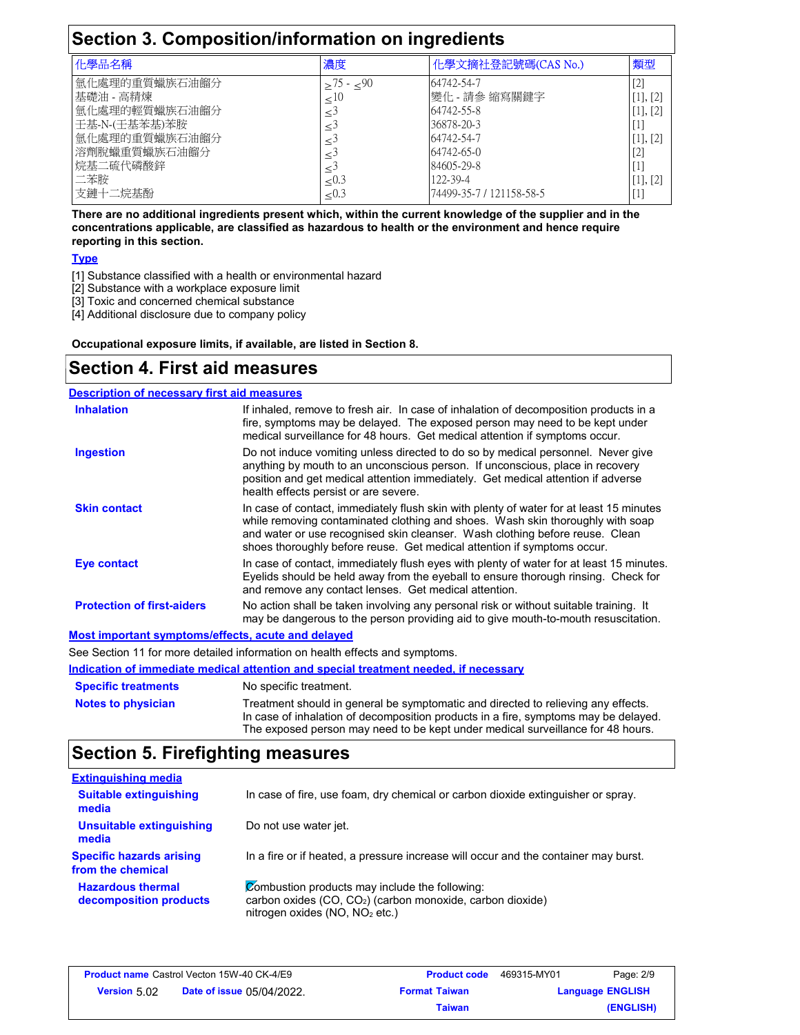| Section 3. Composition/information on ingredients |             |                          |                                                                                                                                                        |
|---------------------------------------------------|-------------|--------------------------|--------------------------------------------------------------------------------------------------------------------------------------------------------|
| 化學品名稱                                             | 濃度          | 化學文摘社登記號碼(CAS No.)       | 類型                                                                                                                                                     |
| 氫化處理的重質蠟族石油餾分                                     | $> 75 - 90$ | 64742-54-7               | $[2]$                                                                                                                                                  |
| 基礎油 - 高精煉                                         | $\leq 10$   | 變化 - 請參 縮寫關鍵字            | $[1]$ , $[2]$                                                                                                                                          |
| 氫化處理的輕質蠟族石油餾分                                     | ≤           | 64742-55-8               | [1], [2]                                                                                                                                               |
| 壬基-N-(壬基苯基)苯胺                                     | ≤:          | 36878-20-3               | $\left[ \begin{smallmatrix} 1 \end{smallmatrix} \right]$                                                                                               |
| 氫化處理的重質蠟族石油餾分                                     | ≤           | 64742-54-7               | $[1]$ , $[2]$                                                                                                                                          |
| 溶劑脫蠟重質蠟族石油餾分                                      |             | 64742-65-0               | $[2]$                                                                                                                                                  |
| 烷基二硫代磷酸鋅                                          | ≤           | 84605-29-8               | $[1]$                                                                                                                                                  |
| 二苯胺                                               | $\leq 0.3$  | 122-39-4                 | [1], [2]                                                                                                                                               |
| 支鏈十二烷基酚                                           | $\leq 0.3$  | 74499-35-7 / 121158-58-5 | $[1] % \includegraphics[width=0.9\columnwidth]{figures/fig_1a} \caption{The image shows the number of times of the top of the right.} \label{fig:1} %$ |

**There are no additional ingredients present which, within the current knowledge of the supplier and in the concentrations applicable, are classified as hazardous to health or the environment and hence require reporting in this section.**

#### **Type**

- [1] Substance classified with a health or environmental hazard
- [2] Substance with a workplace exposure limit
- [3] Toxic and concerned chemical substance

[4] Additional disclosure due to company policy

**Occupational exposure limits, if available, are listed in Section 8.**

### **Section 4. First aid measures**

#### **Description of necessary first aid measures**

| <b>Inhalation</b>                                  | If inhaled, remove to fresh air. In case of inhalation of decomposition products in a<br>fire, symptoms may be delayed. The exposed person may need to be kept under<br>medical surveillance for 48 hours. Get medical attention if symptoms occur.                                                                                  |
|----------------------------------------------------|--------------------------------------------------------------------------------------------------------------------------------------------------------------------------------------------------------------------------------------------------------------------------------------------------------------------------------------|
| <b>Ingestion</b>                                   | Do not induce vomiting unless directed to do so by medical personnel. Never give<br>anything by mouth to an unconscious person. If unconscious, place in recovery<br>position and get medical attention immediately. Get medical attention if adverse<br>health effects persist or are severe.                                       |
| <b>Skin contact</b>                                | In case of contact, immediately flush skin with plenty of water for at least 15 minutes<br>while removing contaminated clothing and shoes. Wash skin thoroughly with soap<br>and water or use recognised skin cleanser. Wash clothing before reuse. Clean<br>shoes thoroughly before reuse. Get medical attention if symptoms occur. |
| Eye contact                                        | In case of contact, immediately flush eyes with plenty of water for at least 15 minutes.<br>Eyelids should be held away from the eyeball to ensure thorough rinsing. Check for<br>and remove any contact lenses. Get medical attention.                                                                                              |
| <b>Protection of first-aiders</b>                  | No action shall be taken involving any personal risk or without suitable training. It<br>may be dangerous to the person providing aid to give mouth-to-mouth resuscitation.                                                                                                                                                          |
| Most important symptoms/effects, acute and delayed |                                                                                                                                                                                                                                                                                                                                      |

See Section 11 for more detailed information on health effects and symptoms.

**Indication of immediate medical attention and special treatment needed, if necessary**

**Notes to physician** Treatment should in general be symptomatic and directed to relieving any effects. In case of inhalation of decomposition products in a fire, symptoms may be delayed. The exposed person may need to be kept under medical surveillance for 48 hours. **Specific treatments** No specific treatment.

### **Section 5. Firefighting measures**

| In case of fire, use foam, dry chemical or carbon dioxide extinguisher or spray.                                                                                       |
|------------------------------------------------------------------------------------------------------------------------------------------------------------------------|
| Do not use water jet.                                                                                                                                                  |
| In a fire or if heated, a pressure increase will occur and the container may burst.                                                                                    |
| Combustion products may include the following:<br>carbon oxides (CO, CO <sub>2</sub> ) (carbon monoxide, carbon dioxide)<br>nitrogen oxides (NO, NO <sub>2</sub> etc.) |
|                                                                                                                                                                        |

| <b>Product name Castrol Vecton 15W-40 CK-4/E9</b> |                                  | <b>Product code</b>  | 469315-MY01 | Page: 2/9               |
|---------------------------------------------------|----------------------------------|----------------------|-------------|-------------------------|
| <b>Version</b> 5.02                               | <b>Date of issue 05/04/2022.</b> | <b>Format Taiwan</b> |             | <b>Language ENGLISH</b> |
|                                                   |                                  | <b>Taiwan</b>        |             | (ENGLISH)               |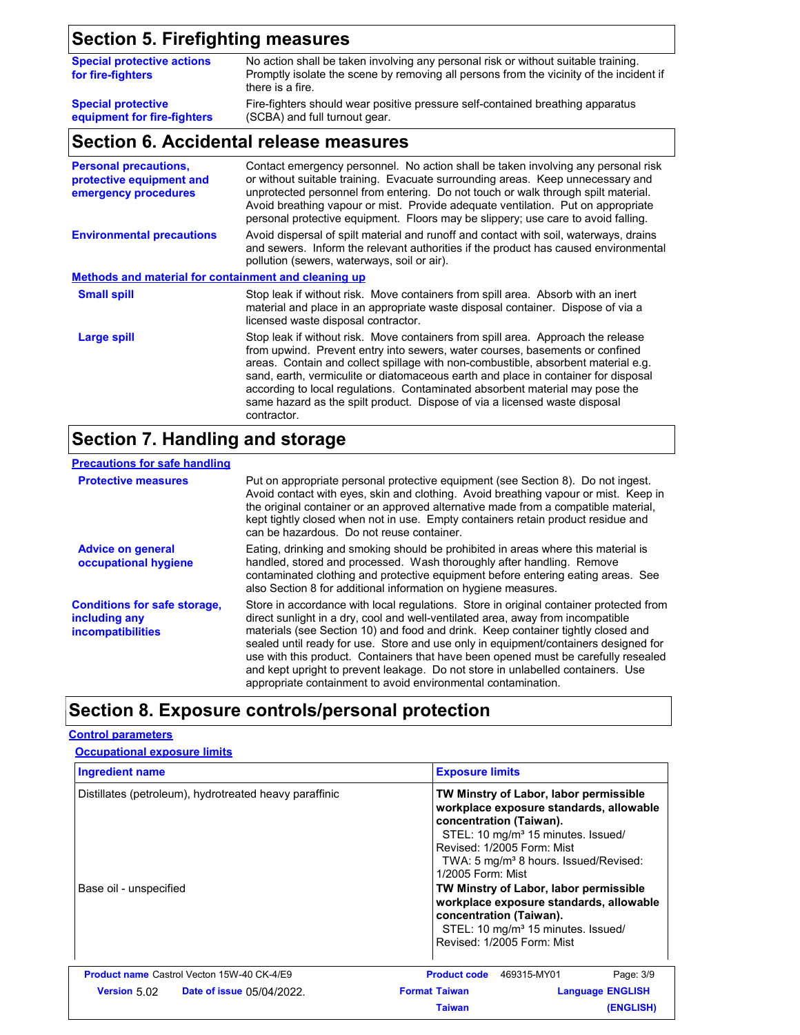## **Section 5. Firefighting measures**

| <b>Special protective actions</b><br>for fire-fighters | No action shall be taken involving any personal risk or without suitable training.<br>Promptly isolate the scene by removing all persons from the vicinity of the incident if<br>there is a fire. |
|--------------------------------------------------------|---------------------------------------------------------------------------------------------------------------------------------------------------------------------------------------------------|
| <b>Special protective</b>                              | Fire-fighters should wear positive pressure self-contained breathing apparatus                                                                                                                    |
| equipment for fire-fighters                            | (SCBA) and full turnout gear.                                                                                                                                                                     |

## **Section 6. Accidental release measures**

| <b>Personal precautions,</b><br>protective equipment and<br>emergency procedures | Contact emergency personnel. No action shall be taken involving any personal risk<br>or without suitable training. Evacuate surrounding areas. Keep unnecessary and<br>unprotected personnel from entering. Do not touch or walk through spilt material.<br>Avoid breathing vapour or mist. Provide adequate ventilation. Put on appropriate<br>personal protective equipment. Floors may be slippery; use care to avoid falling.                                                                                        |
|----------------------------------------------------------------------------------|--------------------------------------------------------------------------------------------------------------------------------------------------------------------------------------------------------------------------------------------------------------------------------------------------------------------------------------------------------------------------------------------------------------------------------------------------------------------------------------------------------------------------|
| <b>Environmental precautions</b>                                                 | Avoid dispersal of spilt material and runoff and contact with soil, waterways, drains<br>and sewers. Inform the relevant authorities if the product has caused environmental<br>pollution (sewers, waterways, soil or air).                                                                                                                                                                                                                                                                                              |
| Methods and material for containment and cleaning up                             |                                                                                                                                                                                                                                                                                                                                                                                                                                                                                                                          |
| <b>Small spill</b>                                                               | Stop leak if without risk. Move containers from spill area. Absorb with an inert<br>material and place in an appropriate waste disposal container. Dispose of via a<br>licensed waste disposal contractor.                                                                                                                                                                                                                                                                                                               |
| Large spill                                                                      | Stop leak if without risk. Move containers from spill area. Approach the release<br>from upwind. Prevent entry into sewers, water courses, basements or confined<br>areas. Contain and collect spillage with non-combustible, absorbent material e.g.<br>sand, earth, vermiculite or diatomaceous earth and place in container for disposal<br>according to local regulations. Contaminated absorbent material may pose the<br>same hazard as the spilt product. Dispose of via a licensed waste disposal<br>contractor. |

## **Section 7. Handling and storage**

| <b>Precautions for safe handling</b>                                             |                                                                                                                                                                                                                                                                                                                                                                                                                                                                                                                                                                                                |
|----------------------------------------------------------------------------------|------------------------------------------------------------------------------------------------------------------------------------------------------------------------------------------------------------------------------------------------------------------------------------------------------------------------------------------------------------------------------------------------------------------------------------------------------------------------------------------------------------------------------------------------------------------------------------------------|
| <b>Protective measures</b>                                                       | Put on appropriate personal protective equipment (see Section 8). Do not ingest.<br>Avoid contact with eyes, skin and clothing. Avoid breathing vapour or mist. Keep in<br>the original container or an approved alternative made from a compatible material,<br>kept tightly closed when not in use. Empty containers retain product residue and<br>can be hazardous. Do not reuse container.                                                                                                                                                                                                 |
| <b>Advice on general</b><br>occupational hygiene                                 | Eating, drinking and smoking should be prohibited in areas where this material is<br>handled, stored and processed. Wash thoroughly after handling. Remove<br>contaminated clothing and protective equipment before entering eating areas. See<br>also Section 8 for additional information on hygiene measures.                                                                                                                                                                                                                                                                               |
| <b>Conditions for safe storage,</b><br>including any<br><b>incompatibilities</b> | Store in accordance with local regulations. Store in original container protected from<br>direct sunlight in a dry, cool and well-ventilated area, away from incompatible<br>materials (see Section 10) and food and drink. Keep container tightly closed and<br>sealed until ready for use. Store and use only in equipment/containers designed for<br>use with this product. Containers that have been opened must be carefully resealed<br>and kept upright to prevent leakage. Do not store in unlabelled containers. Use<br>appropriate containment to avoid environmental contamination. |

### **Section 8. Exposure controls/personal protection**

#### **Control parameters**

#### **Occupational exposure limits**

| <b>Ingredient name</b>                                                           | <b>Exposure limits</b>                                                                                                                                                                                                                                                                                                                                                                                                                                                 |
|----------------------------------------------------------------------------------|------------------------------------------------------------------------------------------------------------------------------------------------------------------------------------------------------------------------------------------------------------------------------------------------------------------------------------------------------------------------------------------------------------------------------------------------------------------------|
| Distillates (petroleum), hydrotreated heavy paraffinic<br>Base oil - unspecified | TW Minstry of Labor, labor permissible<br>workplace exposure standards, allowable<br>concentration (Taiwan).<br>STEL: 10 mg/m <sup>3</sup> 15 minutes. Issued/<br>Revised: 1/2005 Form: Mist<br>TWA: 5 mg/m <sup>3</sup> 8 hours. Issued/Revised:<br>1/2005 Form: Mist<br>TW Minstry of Labor, labor permissible<br>workplace exposure standards, allowable<br>concentration (Taiwan).<br>STEL: 10 mg/m <sup>3</sup> 15 minutes. Issued/<br>Revised: 1/2005 Form: Mist |
| <b>Product name Castrol Vecton 15W-40 CK-4/E9</b>                                | Page: 3/9<br><b>Product code</b><br>469315-MY01                                                                                                                                                                                                                                                                                                                                                                                                                        |
| <b>Version 5.02 Date of issue 05/04/2022.</b>                                    | <b>Format Taiwan</b><br><b>Language ENGLISH</b>                                                                                                                                                                                                                                                                                                                                                                                                                        |
|                                                                                  | <b>Taiwan</b><br>(ENGLISH)                                                                                                                                                                                                                                                                                                                                                                                                                                             |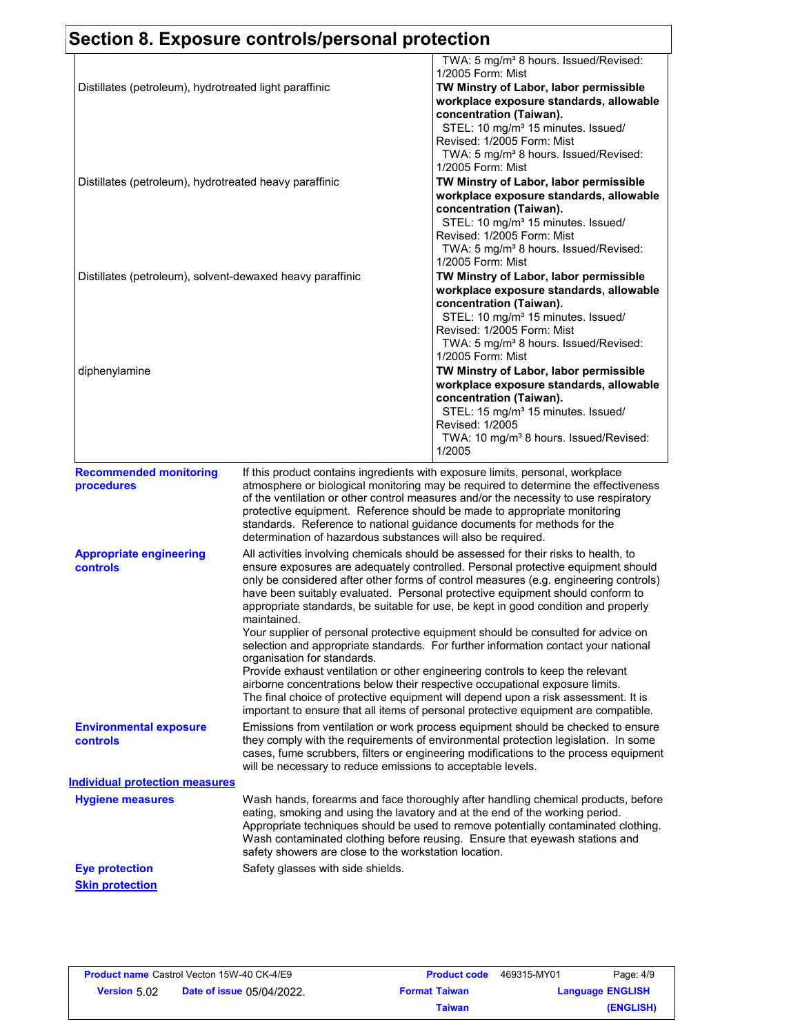|                                                           | Section 8. Exposure controls/personal protection                                                                                                                                                                                                                                                                                                                                                                                                                                    |                                                                                                                                                                                                                                                                                                                                                                                                                                                                                                                                                                                                                                                                                                                                                                                                                                                                                                                                                                 |
|-----------------------------------------------------------|-------------------------------------------------------------------------------------------------------------------------------------------------------------------------------------------------------------------------------------------------------------------------------------------------------------------------------------------------------------------------------------------------------------------------------------------------------------------------------------|-----------------------------------------------------------------------------------------------------------------------------------------------------------------------------------------------------------------------------------------------------------------------------------------------------------------------------------------------------------------------------------------------------------------------------------------------------------------------------------------------------------------------------------------------------------------------------------------------------------------------------------------------------------------------------------------------------------------------------------------------------------------------------------------------------------------------------------------------------------------------------------------------------------------------------------------------------------------|
|                                                           |                                                                                                                                                                                                                                                                                                                                                                                                                                                                                     | TWA: 5 mg/m <sup>3</sup> 8 hours. Issued/Revised:<br>1/2005 Form: Mist                                                                                                                                                                                                                                                                                                                                                                                                                                                                                                                                                                                                                                                                                                                                                                                                                                                                                          |
| Distillates (petroleum), hydrotreated light paraffinic    |                                                                                                                                                                                                                                                                                                                                                                                                                                                                                     | TW Minstry of Labor, labor permissible<br>workplace exposure standards, allowable<br>concentration (Taiwan).<br>STEL: 10 mg/m <sup>3</sup> 15 minutes. Issued/<br>Revised: 1/2005 Form: Mist<br>TWA: 5 mg/m <sup>3</sup> 8 hours. Issued/Revised:<br>1/2005 Form: Mist                                                                                                                                                                                                                                                                                                                                                                                                                                                                                                                                                                                                                                                                                          |
| Distillates (petroleum), hydrotreated heavy paraffinic    |                                                                                                                                                                                                                                                                                                                                                                                                                                                                                     | TW Minstry of Labor, labor permissible<br>workplace exposure standards, allowable<br>concentration (Taiwan).<br>STEL: 10 mg/m <sup>3</sup> 15 minutes. Issued/<br>Revised: 1/2005 Form: Mist<br>TWA: 5 mg/m <sup>3</sup> 8 hours. Issued/Revised:<br>1/2005 Form: Mist                                                                                                                                                                                                                                                                                                                                                                                                                                                                                                                                                                                                                                                                                          |
| Distillates (petroleum), solvent-dewaxed heavy paraffinic |                                                                                                                                                                                                                                                                                                                                                                                                                                                                                     | TW Minstry of Labor, labor permissible<br>workplace exposure standards, allowable<br>concentration (Taiwan).<br>STEL: 10 mg/m <sup>3</sup> 15 minutes. Issued/<br>Revised: 1/2005 Form: Mist<br>TWA: 5 mg/m <sup>3</sup> 8 hours. Issued/Revised:<br>1/2005 Form: Mist                                                                                                                                                                                                                                                                                                                                                                                                                                                                                                                                                                                                                                                                                          |
| diphenylamine                                             |                                                                                                                                                                                                                                                                                                                                                                                                                                                                                     | TW Minstry of Labor, labor permissible<br>workplace exposure standards, allowable<br>concentration (Taiwan).<br>STEL: 15 mg/m <sup>3</sup> 15 minutes. Issued/<br>Revised: 1/2005<br>TWA: 10 mg/m <sup>3</sup> 8 hours. Issued/Revised:<br>1/2005                                                                                                                                                                                                                                                                                                                                                                                                                                                                                                                                                                                                                                                                                                               |
| <b>Recommended monitoring</b><br>procedures               | If this product contains ingredients with exposure limits, personal, workplace<br>atmosphere or biological monitoring may be required to determine the effectiveness<br>of the ventilation or other control measures and/or the necessity to use respiratory<br>protective equipment. Reference should be made to appropriate monitoring<br>standards. Reference to national guidance documents for methods for the<br>determination of hazardous substances will also be required. |                                                                                                                                                                                                                                                                                                                                                                                                                                                                                                                                                                                                                                                                                                                                                                                                                                                                                                                                                                 |
| <b>Appropriate engineering</b><br>controls                | maintained.<br>organisation for standards.                                                                                                                                                                                                                                                                                                                                                                                                                                          | All activities involving chemicals should be assessed for their risks to health, to<br>ensure exposures are adequately controlled. Personal protective equipment should<br>only be considered after other forms of control measures (e.g. engineering controls)<br>have been suitably evaluated. Personal protective equipment should conform to<br>appropriate standards, be suitable for use, be kept in good condition and properly<br>Your supplier of personal protective equipment should be consulted for advice on<br>selection and appropriate standards. For further information contact your national<br>Provide exhaust ventilation or other engineering controls to keep the relevant<br>airborne concentrations below their respective occupational exposure limits.<br>The final choice of protective equipment will depend upon a risk assessment. It is<br>important to ensure that all items of personal protective equipment are compatible. |
| <b>Environmental exposure</b><br>controls                 | Emissions from ventilation or work process equipment should be checked to ensure<br>they comply with the requirements of environmental protection legislation. In some<br>cases, fume scrubbers, filters or engineering modifications to the process equipment<br>will be necessary to reduce emissions to acceptable levels.                                                                                                                                                       |                                                                                                                                                                                                                                                                                                                                                                                                                                                                                                                                                                                                                                                                                                                                                                                                                                                                                                                                                                 |
| <b>Individual protection measures</b>                     |                                                                                                                                                                                                                                                                                                                                                                                                                                                                                     |                                                                                                                                                                                                                                                                                                                                                                                                                                                                                                                                                                                                                                                                                                                                                                                                                                                                                                                                                                 |
| <b>Hygiene measures</b>                                   |                                                                                                                                                                                                                                                                                                                                                                                                                                                                                     | Wash hands, forearms and face thoroughly after handling chemical products, before<br>eating, smoking and using the lavatory and at the end of the working period.<br>Appropriate techniques should be used to remove potentially contaminated clothing.                                                                                                                                                                                                                                                                                                                                                                                                                                                                                                                                                                                                                                                                                                         |
|                                                           | Wash contaminated clothing before reusing. Ensure that eyewash stations and<br>safety showers are close to the workstation location.                                                                                                                                                                                                                                                                                                                                                |                                                                                                                                                                                                                                                                                                                                                                                                                                                                                                                                                                                                                                                                                                                                                                                                                                                                                                                                                                 |

| <b>Product name Castrol Vecton 15W-40 CK-4/E9</b> |                                  | <b>Product code</b>  | 469315-MY01             | Page: 4/9 |
|---------------------------------------------------|----------------------------------|----------------------|-------------------------|-----------|
| Version 5.02                                      | <b>Date of issue 05/04/2022.</b> | <b>Format Taiwan</b> | <b>Language ENGLISH</b> |           |
|                                                   |                                  | Taiwan               |                         | (ENGLISH) |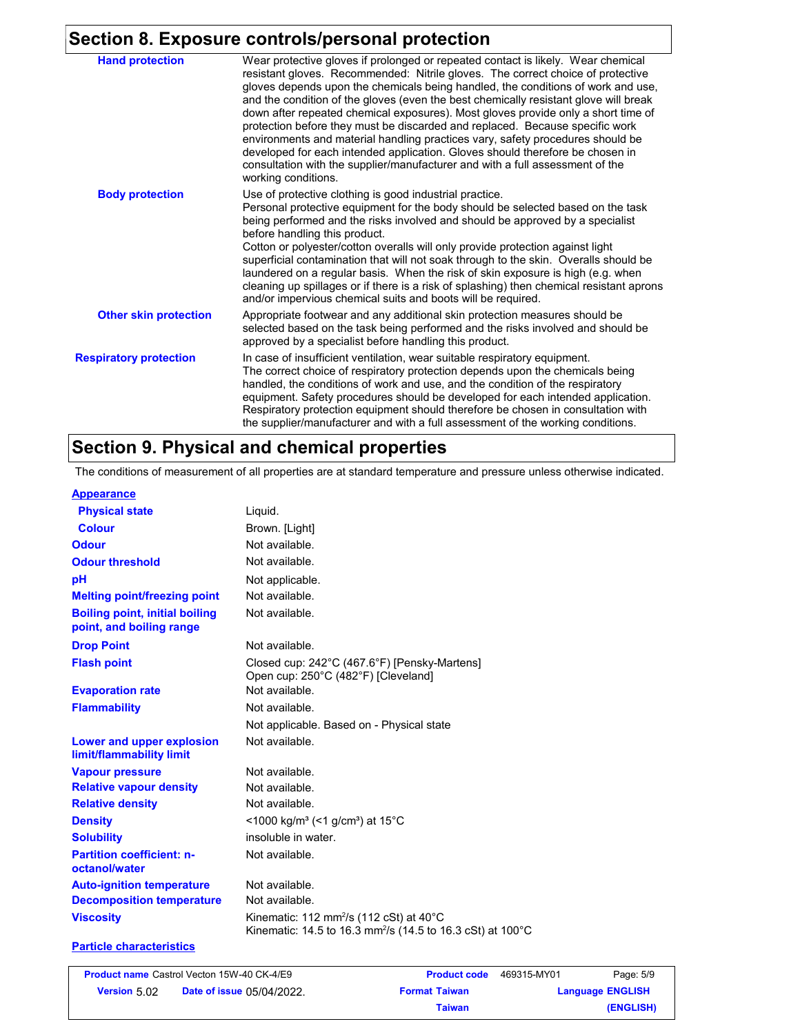### **Section 8. Exposure controls/personal protection**

| <b>Hand protection</b>        | Wear protective gloves if prolonged or repeated contact is likely. Wear chemical<br>resistant gloves. Recommended: Nitrile gloves. The correct choice of protective<br>gloves depends upon the chemicals being handled, the conditions of work and use,                                                                                                                                                                                                                                                                                                                                                                                                                               |
|-------------------------------|---------------------------------------------------------------------------------------------------------------------------------------------------------------------------------------------------------------------------------------------------------------------------------------------------------------------------------------------------------------------------------------------------------------------------------------------------------------------------------------------------------------------------------------------------------------------------------------------------------------------------------------------------------------------------------------|
|                               | and the condition of the gloves (even the best chemically resistant glove will break<br>down after repeated chemical exposures). Most gloves provide only a short time of<br>protection before they must be discarded and replaced. Because specific work<br>environments and material handling practices vary, safety procedures should be<br>developed for each intended application. Gloves should therefore be chosen in<br>consultation with the supplier/manufacturer and with a full assessment of the<br>working conditions.                                                                                                                                                  |
| <b>Body protection</b>        | Use of protective clothing is good industrial practice.<br>Personal protective equipment for the body should be selected based on the task<br>being performed and the risks involved and should be approved by a specialist<br>before handling this product.<br>Cotton or polyester/cotton overalls will only provide protection against light<br>superficial contamination that will not soak through to the skin. Overalls should be<br>laundered on a regular basis. When the risk of skin exposure is high (e.g. when<br>cleaning up spillages or if there is a risk of splashing) then chemical resistant aprons<br>and/or impervious chemical suits and boots will be required. |
| <b>Other skin protection</b>  | Appropriate footwear and any additional skin protection measures should be<br>selected based on the task being performed and the risks involved and should be<br>approved by a specialist before handling this product.                                                                                                                                                                                                                                                                                                                                                                                                                                                               |
| <b>Respiratory protection</b> | In case of insufficient ventilation, wear suitable respiratory equipment.<br>The correct choice of respiratory protection depends upon the chemicals being<br>handled, the conditions of work and use, and the condition of the respiratory<br>equipment. Safety procedures should be developed for each intended application.<br>Respiratory protection equipment should therefore be chosen in consultation with<br>the supplier/manufacturer and with a full assessment of the working conditions.                                                                                                                                                                                 |

### **Section 9. Physical and chemical properties**

The conditions of measurement of all properties are at standard temperature and pressure unless otherwise indicated.

#### **Appearance**

| <b>Physical state</b>                                             | Liquid.                                                                                                                                   |
|-------------------------------------------------------------------|-------------------------------------------------------------------------------------------------------------------------------------------|
| <b>Colour</b>                                                     | Brown. [Light]                                                                                                                            |
| <b>Odour</b>                                                      | Not available.                                                                                                                            |
| <b>Odour threshold</b>                                            | Not available.                                                                                                                            |
| pH                                                                | Not applicable.                                                                                                                           |
| <b>Melting point/freezing point</b>                               | Not available.                                                                                                                            |
| <b>Boiling point, initial boiling</b><br>point, and boiling range | Not available.                                                                                                                            |
| <b>Drop Point</b>                                                 | Not available.                                                                                                                            |
| <b>Flash point</b>                                                | Closed cup: 242°C (467.6°F) [Pensky-Martens]<br>Open cup: 250°C (482°F) [Cleveland]                                                       |
| <b>Evaporation rate</b>                                           | Not available.                                                                                                                            |
| <b>Flammability</b>                                               | Not available.                                                                                                                            |
|                                                                   | Not applicable. Based on - Physical state                                                                                                 |
| Lower and upper explosion<br>limit/flammability limit             | Not available.                                                                                                                            |
| <b>Vapour pressure</b>                                            | Not available.                                                                                                                            |
| <b>Relative vapour density</b>                                    | Not available.                                                                                                                            |
| <b>Relative density</b>                                           | Not available.                                                                                                                            |
| <b>Density</b>                                                    | <1000 kg/m <sup>3</sup> (<1 g/cm <sup>3</sup> ) at 15 <sup>°</sup> C                                                                      |
| <b>Solubility</b>                                                 | insoluble in water.                                                                                                                       |
| <b>Partition coefficient: n-</b><br>octanol/water                 | Not available.                                                                                                                            |
| <b>Auto-ignition temperature</b>                                  | Not available.                                                                                                                            |
| <b>Decomposition temperature</b>                                  | Not available.                                                                                                                            |
| <b>Viscosity</b>                                                  | Kinematic: 112 mm <sup>2</sup> /s (112 cSt) at 40 $^{\circ}$ C<br>Kinematic: 14.5 to 16.3 mm <sup>2</sup> /s (14.5 to 16.3 cSt) at 100 °C |

**Particle characteristics**

|              | <b>Product name Castrol Vecton 15W-40 CK-4/E9</b> | <b>Product code</b>  | 469315-MY01             | Page: 5/9 |
|--------------|---------------------------------------------------|----------------------|-------------------------|-----------|
| Version 5.02 | <b>Date of issue 05/04/2022.</b>                  | <b>Format Taiwan</b> | <b>Language ENGLISH</b> |           |
|              |                                                   | <b>Taiwan</b>        |                         | (ENGLISH) |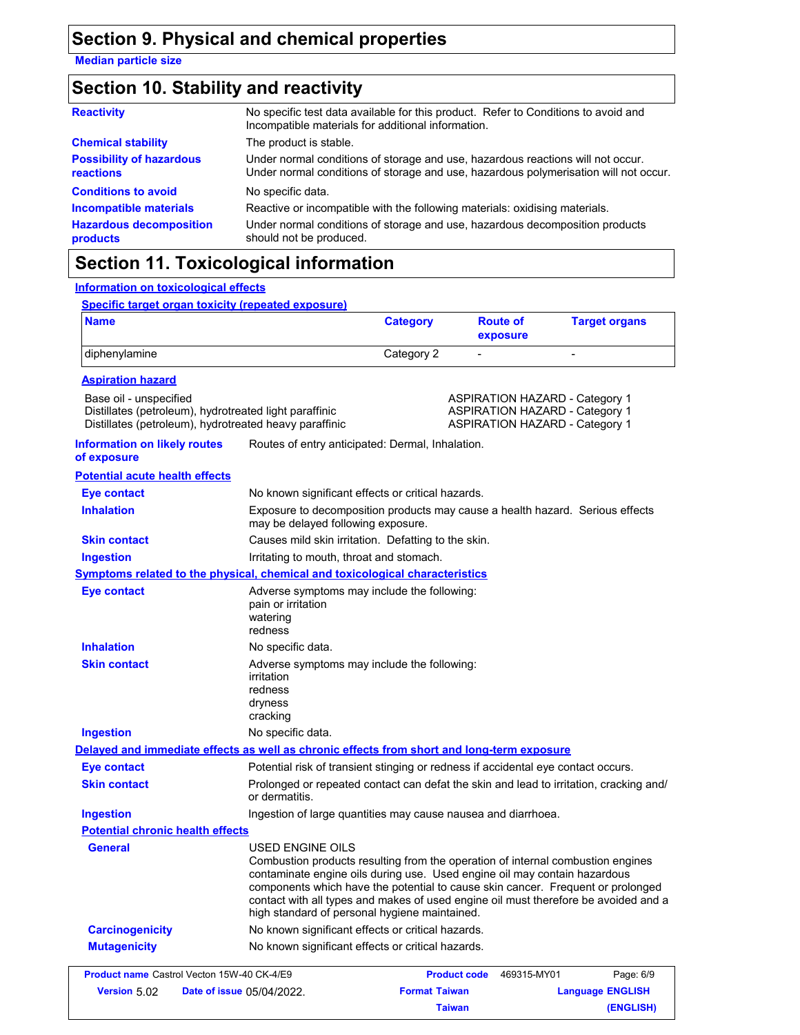## **Section 9. Physical and chemical properties**

**Median particle size**

### **Section 10. Stability and reactivity**

| <b>Reactivity</b>                            | No specific test data available for this product. Refer to Conditions to avoid and<br>Incompatible materials for additional information.                                |
|----------------------------------------------|-------------------------------------------------------------------------------------------------------------------------------------------------------------------------|
| <b>Chemical stability</b>                    | The product is stable.                                                                                                                                                  |
| <b>Possibility of hazardous</b><br>reactions | Under normal conditions of storage and use, hazardous reactions will not occur.<br>Under normal conditions of storage and use, hazardous polymerisation will not occur. |
| <b>Conditions to avoid</b>                   | No specific data.                                                                                                                                                       |
| <b>Incompatible materials</b>                | Reactive or incompatible with the following materials: oxidising materials.                                                                                             |
| <b>Hazardous decomposition</b><br>products   | Under normal conditions of storage and use, hazardous decomposition products<br>should not be produced.                                                                 |

### **Section 11. Toxicological information**

#### **Information on toxicological effects**

| <b>Name</b>                                                                                                                                |                                                                                                                                                                                                                                   | <b>Category</b>      | <b>Route of</b><br>exposure                                                                                             | <b>Target organs</b>                                                                                                                                                   |
|--------------------------------------------------------------------------------------------------------------------------------------------|-----------------------------------------------------------------------------------------------------------------------------------------------------------------------------------------------------------------------------------|----------------------|-------------------------------------------------------------------------------------------------------------------------|------------------------------------------------------------------------------------------------------------------------------------------------------------------------|
| diphenylamine                                                                                                                              |                                                                                                                                                                                                                                   | Category 2           |                                                                                                                         |                                                                                                                                                                        |
| <b>Aspiration hazard</b>                                                                                                                   |                                                                                                                                                                                                                                   |                      |                                                                                                                         |                                                                                                                                                                        |
| Base oil - unspecified<br>Distillates (petroleum), hydrotreated light paraffinic<br>Distillates (petroleum), hydrotreated heavy paraffinic |                                                                                                                                                                                                                                   |                      | <b>ASPIRATION HAZARD - Category 1</b><br><b>ASPIRATION HAZARD - Category 1</b><br><b>ASPIRATION HAZARD - Category 1</b> |                                                                                                                                                                        |
| <b>Information on likely routes</b><br>of exposure                                                                                         | Routes of entry anticipated: Dermal, Inhalation.                                                                                                                                                                                  |                      |                                                                                                                         |                                                                                                                                                                        |
| <b>Potential acute health effects</b>                                                                                                      |                                                                                                                                                                                                                                   |                      |                                                                                                                         |                                                                                                                                                                        |
| <b>Eye contact</b>                                                                                                                         | No known significant effects or critical hazards.                                                                                                                                                                                 |                      |                                                                                                                         |                                                                                                                                                                        |
| <b>Inhalation</b>                                                                                                                          | Exposure to decomposition products may cause a health hazard. Serious effects<br>may be delayed following exposure.                                                                                                               |                      |                                                                                                                         |                                                                                                                                                                        |
| <b>Skin contact</b>                                                                                                                        | Causes mild skin irritation. Defatting to the skin.                                                                                                                                                                               |                      |                                                                                                                         |                                                                                                                                                                        |
| <b>Ingestion</b>                                                                                                                           | Irritating to mouth, throat and stomach.                                                                                                                                                                                          |                      |                                                                                                                         |                                                                                                                                                                        |
| <b>Symptoms related to the physical, chemical and toxicological characteristics</b>                                                        |                                                                                                                                                                                                                                   |                      |                                                                                                                         |                                                                                                                                                                        |
| <b>Eye contact</b>                                                                                                                         | Adverse symptoms may include the following:<br>pain or irritation<br>watering<br>redness                                                                                                                                          |                      |                                                                                                                         |                                                                                                                                                                        |
| <b>Inhalation</b>                                                                                                                          | No specific data.                                                                                                                                                                                                                 |                      |                                                                                                                         |                                                                                                                                                                        |
| <b>Skin contact</b>                                                                                                                        | Adverse symptoms may include the following:<br>irritation<br>redness<br>dryness<br>cracking                                                                                                                                       |                      |                                                                                                                         |                                                                                                                                                                        |
| <b>Ingestion</b>                                                                                                                           | No specific data.                                                                                                                                                                                                                 |                      |                                                                                                                         |                                                                                                                                                                        |
| Delayed and immediate effects as well as chronic effects from short and long-term exposure                                                 |                                                                                                                                                                                                                                   |                      |                                                                                                                         |                                                                                                                                                                        |
| <b>Eye contact</b>                                                                                                                         | Potential risk of transient stinging or redness if accidental eye contact occurs.                                                                                                                                                 |                      |                                                                                                                         |                                                                                                                                                                        |
| <b>Skin contact</b>                                                                                                                        | or dermatitis.                                                                                                                                                                                                                    |                      |                                                                                                                         | Prolonged or repeated contact can defat the skin and lead to irritation, cracking and/                                                                                 |
| <b>Ingestion</b>                                                                                                                           | Ingestion of large quantities may cause nausea and diarrhoea.                                                                                                                                                                     |                      |                                                                                                                         |                                                                                                                                                                        |
| <b>Potential chronic health effects</b>                                                                                                    |                                                                                                                                                                                                                                   |                      |                                                                                                                         |                                                                                                                                                                        |
| <b>General</b>                                                                                                                             | USED ENGINE OILS<br>Combustion products resulting from the operation of internal combustion engines<br>contaminate engine oils during use. Used engine oil may contain hazardous<br>high standard of personal hygiene maintained. |                      |                                                                                                                         | components which have the potential to cause skin cancer. Frequent or prolonged<br>contact with all types and makes of used engine oil must therefore be avoided and a |
| <b>Carcinogenicity</b>                                                                                                                     | No known significant effects or critical hazards.                                                                                                                                                                                 |                      |                                                                                                                         |                                                                                                                                                                        |
| <b>Mutagenicity</b>                                                                                                                        | No known significant effects or critical hazards.                                                                                                                                                                                 |                      |                                                                                                                         |                                                                                                                                                                        |
| <b>Product name Castrol Vecton 15W-40 CK-4/E9</b>                                                                                          |                                                                                                                                                                                                                                   |                      | <b>Product code</b><br>469315-MY01                                                                                      | Page: 6/9                                                                                                                                                              |
| Version 5.02                                                                                                                               | Date of issue 05/04/2022.                                                                                                                                                                                                         | <b>Format Taiwan</b> |                                                                                                                         | <b>Language ENGLISH</b>                                                                                                                                                |

**Taiwan**

**(ENGLISH)**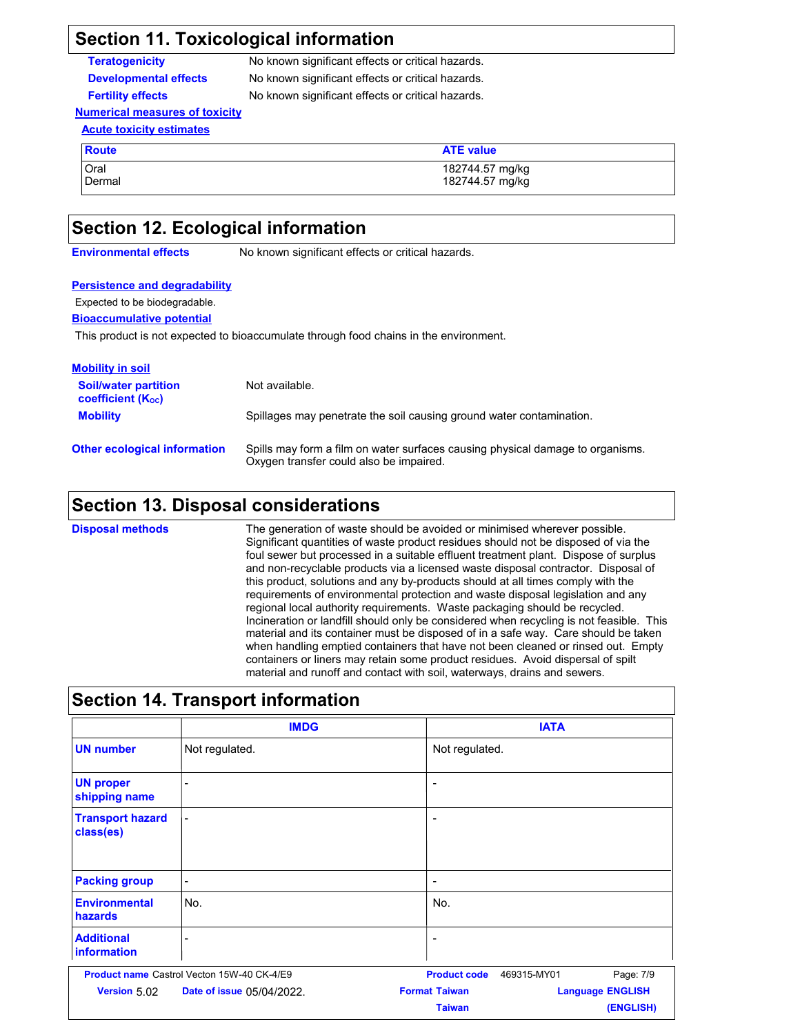### **Section 11. Toxicological information**

| <b>Teratogenicity</b>        |  |
|------------------------------|--|
| <b>Developmental effects</b> |  |
| <b>Fertility effects</b>     |  |

No known significant effects or critical hazards. No known significant effects or critical hazards. No known significant effects or critical hazards.

#### **Numerical measures of toxicity**

#### **Acute toxicity estimates**

| Route         | <b>ATE value</b> |
|---------------|------------------|
| Oral          | 182744.57 mg/kg  |
| <b>Dermal</b> | 182744.57 mg/kg  |

### **Section 12. Ecological information**

**Environmental effects** No known significant effects or critical hazards.

#### **Persistence and degradability**

Expected to be biodegradable.

#### **Bioaccumulative potential**

This product is not expected to bioaccumulate through food chains in the environment.

| <b>Mobility in soil</b>                                       |                                                                                                                           |
|---------------------------------------------------------------|---------------------------------------------------------------------------------------------------------------------------|
| <b>Soil/water partition</b><br>coefficient (K <sub>oc</sub> ) | Not available.                                                                                                            |
| <b>Mobility</b>                                               | Spillages may penetrate the soil causing ground water contamination.                                                      |
| <b>Other ecological information</b>                           | Spills may form a film on water surfaces causing physical damage to organisms.<br>Oxygen transfer could also be impaired. |

## **Section 13. Disposal considerations**

The generation of waste should be avoided or minimised wherever possible. Significant quantities of waste product residues should not be disposed of via the foul sewer but processed in a suitable effluent treatment plant. Dispose of surplus and non-recyclable products via a licensed waste disposal contractor. Disposal of this product, solutions and any by-products should at all times comply with the requirements of environmental protection and waste disposal legislation and any regional local authority requirements. Waste packaging should be recycled. Incineration or landfill should only be considered when recycling is not feasible. This material and its container must be disposed of in a safe way. Care should be taken when handling emptied containers that have not been cleaned or rinsed out. Empty containers or liners may retain some product residues. Avoid dispersal of spilt material and runoff and contact with soil, waterways, drains and sewers. **Disposal methods**

### **Section 14. Transport information**

|                                      | <b>IMDG</b>                                       | <b>IATA</b>                        |                         |
|--------------------------------------|---------------------------------------------------|------------------------------------|-------------------------|
| <b>UN number</b>                     | Not regulated.                                    | Not regulated.                     |                         |
| <b>UN proper</b><br>shipping name    |                                                   | $\blacksquare$                     |                         |
| <b>Transport hazard</b><br>class(es) |                                                   | ٠                                  |                         |
| <b>Packing group</b>                 |                                                   | $\overline{\phantom{a}}$           |                         |
| <b>Environmental</b><br>hazards      | No.                                               | No.                                |                         |
| <b>Additional</b><br>information     |                                                   |                                    |                         |
|                                      | <b>Product name Castrol Vecton 15W-40 CK-4/E9</b> | <b>Product code</b><br>469315-MY01 | Page: 7/9               |
| Version 5.02                         | <b>Date of issue 05/04/2022.</b>                  | <b>Format Taiwan</b>               | <b>Language ENGLISH</b> |
|                                      |                                                   | <b>Taiwan</b>                      | (ENGLISH)               |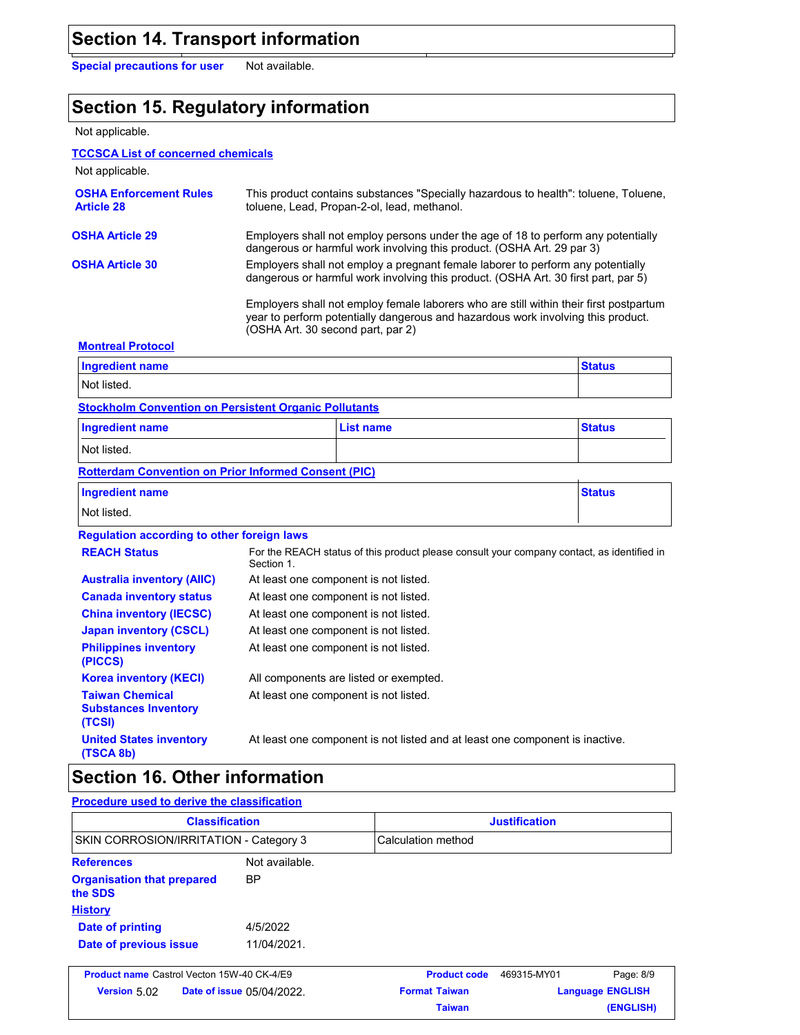### **Section 14. Transport information**

**Special precautions for user** Not available.

**TCCSCA List of concerned chemicals**

### **Section 15. Regulatory information**

Not applicable.

| Not applicable.                                    |                                                                                                                                                                                                                 |
|----------------------------------------------------|-----------------------------------------------------------------------------------------------------------------------------------------------------------------------------------------------------------------|
| <b>OSHA Enforcement Rules</b><br><b>Article 28</b> | This product contains substances "Specially hazardous to health": toluene, Toluene,<br>toluene, Lead, Propan-2-ol, lead, methanol.                                                                              |
| <b>OSHA Article 29</b>                             | Employers shall not employ persons under the age of 18 to perform any potentially<br>dangerous or harmful work involving this product. (OSHA Art. 29 par 3)                                                     |
| <b>OSHA Article 30</b>                             | Employers shall not employ a pregnant female laborer to perform any potentially<br>dangerous or harmful work involving this product. (OSHA Art. 30 first part, par 5)                                           |
|                                                    | Employers shall not employ female laborers who are still within their first postpartum<br>year to perform potentially dangerous and hazardous work involving this product.<br>(OSHA Art. 30 second part, par 2) |
| <b>Montreal Protocol</b>                           |                                                                                                                                                                                                                 |

#### **Montreal Protocol**

| Not listed. | Ingredient name | <b>Status</b> |
|-------------|-----------------|---------------|
|             |                 |               |

**Stockholm Convention on Persistent Organic Pollutants**

| Ingredient name | <b>List name</b> | <b>Status</b> |
|-----------------|------------------|---------------|
| Not listed.     |                  |               |

### **Rotterdam Convention on Prior Informed Consent (PIC) Ingredient name Status**

| Not listed.                                                     |                                                                                                          |  |  |  |  |
|-----------------------------------------------------------------|----------------------------------------------------------------------------------------------------------|--|--|--|--|
| <b>Regulation according to other foreign laws</b>               |                                                                                                          |  |  |  |  |
| <b>REACH Status</b>                                             | For the REACH status of this product please consult your company contact, as identified in<br>Section 1. |  |  |  |  |
| <b>Australia inventory (AIIC)</b>                               | At least one component is not listed.                                                                    |  |  |  |  |
| <b>Canada inventory status</b>                                  | At least one component is not listed.                                                                    |  |  |  |  |
| <b>China inventory (IECSC)</b>                                  | At least one component is not listed.                                                                    |  |  |  |  |
| <b>Japan inventory (CSCL)</b>                                   | At least one component is not listed.                                                                    |  |  |  |  |
| <b>Philippines inventory</b><br>(PICCS)                         | At least one component is not listed.                                                                    |  |  |  |  |
| <b>Korea inventory (KECI)</b>                                   | All components are listed or exempted.                                                                   |  |  |  |  |
| <b>Taiwan Chemical</b><br><b>Substances Inventory</b><br>(TCSI) | At least one component is not listed.                                                                    |  |  |  |  |
| <b>United States inventory</b><br>(TSCA 8b)                     | At least one component is not listed and at least one component is inactive.                             |  |  |  |  |

### **Section 16. Other information**

#### **Procedure used to derive the classification**

| <b>Classification</b><br>SKIN CORROSION/IRRITATION - Category 3 |                           |                      | <b>Justification</b><br>Calculation method |                         |  |
|-----------------------------------------------------------------|---------------------------|----------------------|--------------------------------------------|-------------------------|--|
|                                                                 |                           |                      |                                            |                         |  |
| <b>References</b>                                               | Not available.            |                      |                                            |                         |  |
| <b>Organisation that prepared</b><br>the SDS                    | <b>BP</b>                 |                      |                                            |                         |  |
| <b>History</b>                                                  |                           |                      |                                            |                         |  |
| Date of printing                                                | 4/5/2022                  |                      |                                            |                         |  |
| Date of previous issue                                          | 11/04/2021.               |                      |                                            |                         |  |
| <b>Product name Castrol Vecton 15W-40 CK-4/E9</b>               |                           | <b>Product code</b>  | 469315-MY01                                | Page: 8/9               |  |
| Version 5.02                                                    | Date of issue 05/04/2022. | <b>Format Taiwan</b> |                                            | <b>Language ENGLISH</b> |  |

**Taiwan**

**(ENGLISH)**